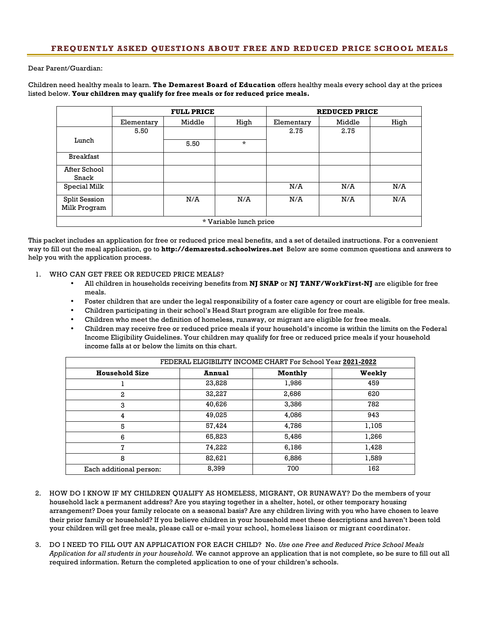Dear Parent/Guardian:

Children need healthy meals to learn. **The Demarest Board of Education** offers healthy meals every school day at the prices listed below. **Your children may qualify for free meals or for reduced price meals.**

|                                      | <b>FULL PRICE</b> |        | <b>REDUCED PRICE</b> |            |        |      |
|--------------------------------------|-------------------|--------|----------------------|------------|--------|------|
|                                      | Elementary        | Middle | High                 | Elementary | Middle | High |
| Lunch                                | 5.50              |        |                      | 2.75       | 2.75   |      |
|                                      |                   | 5.50   | $\star$              |            |        |      |
| <b>Breakfast</b>                     |                   |        |                      |            |        |      |
| After School<br>Snack                |                   |        |                      |            |        |      |
|                                      |                   |        |                      | N/A        |        | N/A  |
| Special Milk                         |                   |        |                      |            | N/A    |      |
| <b>Split Session</b><br>Milk Program |                   | N/A    | N/A                  | N/A        | N/A    | N/A  |
| * Variable lunch price               |                   |        |                      |            |        |      |

This packet includes an application for free or reduced price meal benefits, and a set of detailed instructions. For a convenient way to fill out the meal application, go to **http://demarestsd.schoolwires.net** Below are some common questions and answers to help you with the application process.

- 1. WHO CAN GET FREE OR REDUCED PRICE MEALS?
	- All children in households receiving benefits from **NJ SNAP** or **NJ TANF/WorkFirst-NJ** are eligible for free meals.
	- Foster children that are under the legal responsibility of a foster care agency or court are eligible for free meals.
	- Children participating in their school's Head Start program are eligible for free meals.
	- Children who meet the definition of homeless, runaway, or migrant are eligible for free meals.
	- Children may receive free or reduced price meals if your household's income is within the limits on the Federal Income Eligibility Guidelines. Your children may qualify for free or reduced price meals if your household income falls at or below the limits on this chart.

| FEDERAL ELIGIBILITY INCOME CHART For School Year 2021-2022 |               |         |        |  |  |  |
|------------------------------------------------------------|---------------|---------|--------|--|--|--|
| <b>Household Size</b>                                      | <b>Annual</b> | Monthly | Weekly |  |  |  |
|                                                            | 23,828        | 1,986   | 459    |  |  |  |
| $\mathbf{2}$                                               | 32,227        | 2,686   | 620    |  |  |  |
| 3                                                          | 40,626        | 3,386   | 782    |  |  |  |
| 4                                                          | 49,025        | 4,086   | 943    |  |  |  |
| 5                                                          | 57,424        | 4,786   | 1,105  |  |  |  |
| 6                                                          | 65,823        | 5,486   | 1,266  |  |  |  |
| 7                                                          | 74,222        | 6,186   | 1,428  |  |  |  |
| 8                                                          | 82,621        | 6,886   | 1,589  |  |  |  |
| Each additional person:                                    | 8,399         | 700     | 162    |  |  |  |

- 2. HOW DO I KNOW IF MY CHILDREN QUALIFY AS HOMELESS, MIGRANT, OR RUNAWAY? Do the members of your household lack a permanent address? Are you staying together in a shelter, hotel, or other temporary housing arrangement? Does your family relocate on a seasonal basis? Are any children living with you who have chosen to leave their prior family or household? If you believe children in your household meet these descriptions and haven't been told your children will get free meals, please call or e-mail your school, homeless liaison or migrant coordinator.
- 3. DO I NEED TO FILL OUT AN APPLICATION FOR EACH CHILD? No. *Use one Free and Reduced Price School Meals Application for all students in your household.* We cannot approve an application that is not complete, so be sure to fill out all required information. Return the completed application to one of your children's schools.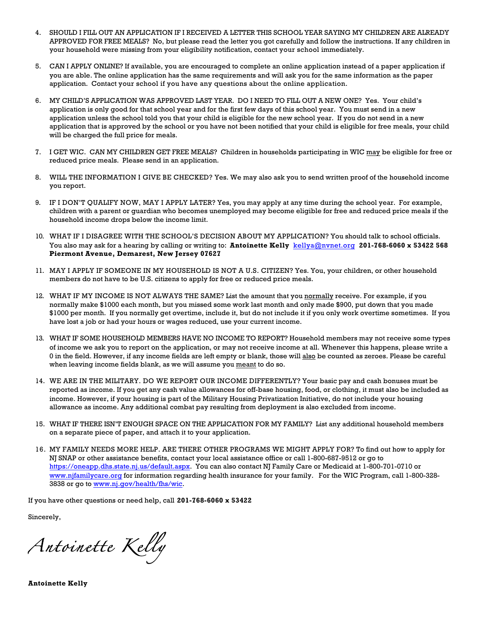- 4. SHOULD I FILL OUT AN APPLICATION IF I RECEIVED A LETTER THIS SCHOOL YEAR SAYING MY CHILDREN ARE ALREADY APPROVED FOR FREE MEALS? No, but please read the letter you got carefully and follow the instructions. If any children in your household were missing from your eligibility notification, contact your school immediately.
- 5. CAN I APPLY ONLINE? If available, you are encouraged to complete an online application instead of a paper application if you are able. The online application has the same requirements and will ask you for the same information as the paper application. Contact your school if you have any questions about the online application.
- 6. MY CHILD'S APPLICATION WAS APPROVED LAST YEAR. DO I NEED TO FILL OUT A NEW ONE? Yes. Your child's application is only good for that school year and for the first few days of this school year. You must send in a new application unless the school told you that your child is eligible for the new school year. If you do not send in a new application that is approved by the school or you have not been notified that your child is eligible for free meals, your child will be charged the full price for meals.
- 7. I GET WIC. CAN MY CHILDREN GET FREE MEALS? Children in households participating in WIC may be eligible for free or reduced price meals. Please send in an application.
- 8. WILL THE INFORMATION I GIVE BE CHECKED? Yes. We may also ask you to send written proof of the household income you report.
- 9. IF I DON'T QUALIFY NOW, MAY I APPLY LATER? Yes, you may apply at any time during the school year. For example, children with a parent or guardian who becomes unemployed may become eligible for free and reduced price meals if the household income drops below the income limit.
- 10. WHAT IF I DISAGREE WITH THE SCHOOL'S DECISION ABOUT MY APPLICATION? You should talk to school officials. You also may ask for a hearing by calling or writing to: **Antoinette Kelly** kellya@nvnet.org **201-768-6060 x 53422 568 Piermont Avenue, Demarest, New Jersey 07627**
- 11. MAY I APPLY IF SOMEONE IN MY HOUSEHOLD IS NOT A U.S. CITIZEN? Yes. You, your children, or other household members do not have to be U.S. citizens to apply for free or reduced price meals.
- 12. WHAT IF MY INCOME IS NOT ALWAYS THE SAME? List the amount that you normally receive. For example, if you normally make \$1000 each month, but you missed some work last month and only made \$900, put down that you made \$1000 per month. If you normally get overtime, include it, but do not include it if you only work overtime sometimes. If you have lost a job or had your hours or wages reduced, use your current income.
- 13. WHAT IF SOME HOUSEHOLD MEMBERS HAVE NO INCOME TO REPORT? Household members may not receive some types of income we ask you to report on the application, or may not receive income at all. Whenever this happens, please write a 0 in the field. However, if any income fields are left empty or blank, those will also be counted as zeroes. Please be careful when leaving income fields blank, as we will assume you meant to do so.
- 14. WE ARE IN THE MILITARY. DO WE REPORT OUR INCOME DIFFERENTLY? Your basic pay and cash bonuses must be reported as income. If you get any cash value allowances for off-base housing, food, or clothing, it must also be included as income. However, if your housing is part of the Military Housing Privatization Initiative, do not include your housing allowance as income. Any additional combat pay resulting from deployment is also excluded from income.
- 15. WHAT IF THERE ISN'T ENOUGH SPACE ON THE APPLICATION FOR MY FAMILY? List any additional household members on a separate piece of paper, and attach it to your application.
- 16. MY FAMILY NEEDS MORE HELP. ARE THERE OTHER PROGRAMS WE MIGHT APPLY FOR? To find out how to apply for NJ SNAP or other assistance benefits, contact your local assistance office or call 1-800-687-9512 or go to https://oneapp.dhs.state.nj.us/default.aspx. You can also contact NJ Family Care or Medicaid at 1-800-701-0710 or www.njfamilycare.org for information regarding health insurance for your family. For the WIC Program, call 1-800-328- 3838 or go to www.nj.gov/health/fhs/wic.

If you have other questions or need help, call **201-768-6060 x 53422**

Sincerely,

*Antoinette Kelly* 

**Antoinette Kelly**